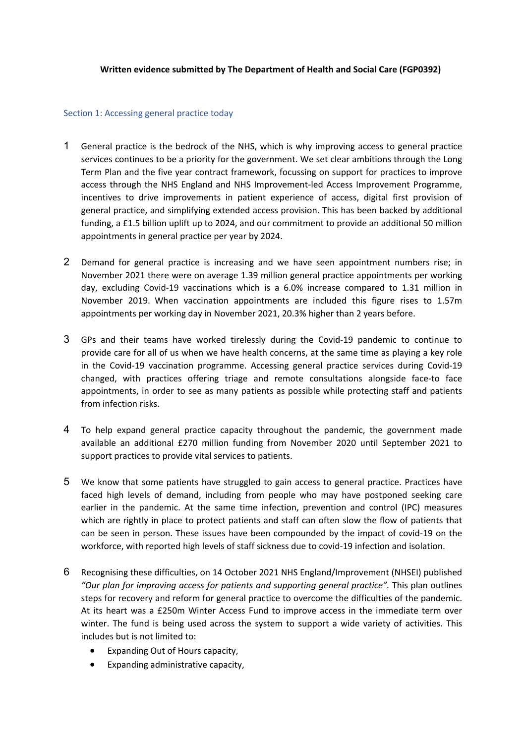## **Written evidence submitted by The Department of Health and Social Care (FGP0392)**

### Section 1: Accessing general practice today

- 1 General practice is the bedrock of the NHS, which is why improving access to general practice services continues to be a priority for the government. We set clear ambitions through the Long Term Plan and the five year contract framework, focussing on support for practices to improve access through the NHS England and NHS Improvement-led Access Improvement Programme, incentives to drive improvements in patient experience of access, digital first provision of general practice, and simplifying extended access provision. This has been backed by additional funding, a £1.5 billion uplift up to 2024, and our commitment to provide an additional 50 million appointments in general practice per year by 2024.
- 2 Demand for general practice is increasing and we have seen appointment numbers rise; in November 2021 there were on average 1.39 million general practice appointments per working day, excluding Covid-19 vaccinations which is a 6.0% increase compared to 1.31 million in November 2019. When vaccination appointments are included this figure rises to 1.57m appointments per working day in November 2021, 20.3% higher than 2 years before.
- 3 GPs and their teams have worked tirelessly during the Covid-19 pandemic to continue to provide care for all of us when we have health concerns, at the same time as playing a key role in the Covid-19 vaccination programme. Accessing general practice services during Covid-19 changed, with practices offering triage and remote consultations alongside face-to face appointments, in order to see as many patients as possible while protecting staff and patients from infection risks.
- 4 To help expand general practice capacity throughout the pandemic, the government made available an additional £270 million funding from November 2020 until September 2021 to support practices to provide vital services to patients.
- 5 We know that some patients have struggled to gain access to general practice. Practices have faced high levels of demand, including from people who may have postponed seeking care earlier in the pandemic. At the same time infection, prevention and control (IPC) measures which are rightly in place to protect patients and staff can often slow the flow of patients that can be seen in person. These issues have been compounded by the impact of covid-19 on the workforce, with reported high levels of staff sickness due to covid-19 infection and isolation.
- 6 Recognising these difficulties, on 14 October 2021 NHS England/Improvement (NHSEI) published *"Our plan for improving access for patients and supporting general practice".* This plan outlines steps for recovery and reform for general practice to overcome the difficulties of the pandemic. At its heart was a £250m Winter Access Fund to improve access in the immediate term over winter. The fund is being used across the system to support a wide variety of activities. This includes but is not limited to:
	- Expanding Out of Hours capacity,
	- Expanding administrative capacity,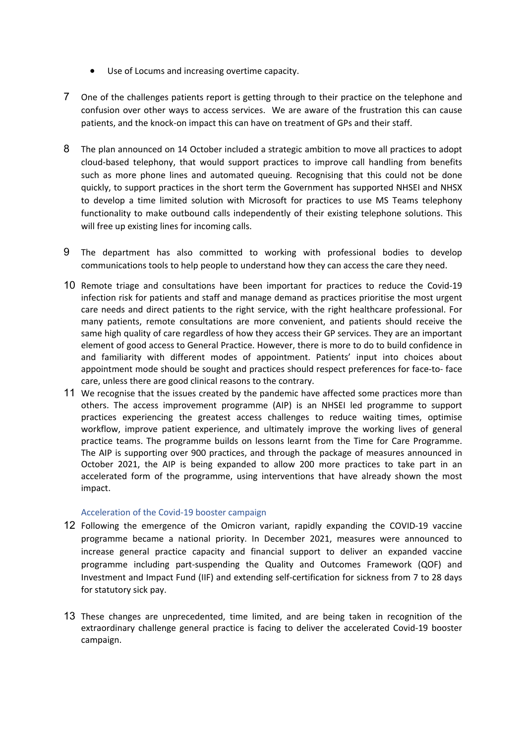- Use of Locums and increasing overtime capacity.
- 7 One of the challenges patients report is getting through to their practice on the telephone and confusion over other ways to access services. We are aware of the frustration this can cause patients, and the knock-on impact this can have on treatment of GPs and their staff.
- 8 The plan announced on 14 October included a strategic ambition to move all practices to adopt cloud-based telephony, that would support practices to improve call handling from benefits such as more phone lines and automated queuing. Recognising that this could not be done quickly, to support practices in the short term the Government has supported NHSEI and NHSX to develop a time limited solution with Microsoft for practices to use MS Teams telephony functionality to make outbound calls independently of their existing telephone solutions. This will free up existing lines for incoming calls.
- 9 The department has also committed to working with professional bodies to develop communications tools to help people to understand how they can access the care they need.
- 10 Remote triage and consultations have been important for practices to reduce the Covid-19 infection risk for patients and staff and manage demand as practices prioritise the most urgent care needs and direct patients to the right service, with the right healthcare professional. For many patients, remote consultations are more convenient, and patients should receive the same high quality of care regardless of how they access their GP services. They are an important element of good access to General Practice. However, there is more to do to build confidence in and familiarity with different modes of appointment. Patients' input into choices about appointment mode should be sought and practices should respect preferences for face-to- face care, unless there are good clinical reasons to the contrary.
- 11 We recognise that the issues created by the pandemic have affected some practices more than others. The access improvement programme (AIP) is an NHSEI led programme to support practices experiencing the greatest access challenges to reduce waiting times, optimise workflow, improve patient experience, and ultimately improve the working lives of general practice teams. The programme builds on lessons learnt from the Time for Care Programme. The AIP is supporting over 900 practices, and through the package of measures announced in October 2021, the AIP is being expanded to allow 200 more practices to take part in an accelerated form of the programme, using interventions that have already shown the most impact.

## Acceleration of the Covid-19 booster campaign

- 12 Following the emergence of the Omicron variant, rapidly expanding the COVID-19 vaccine programme became a national priority. In December 2021, measures were announced to increase general practice capacity and financial support to deliver an expanded vaccine programme including part-suspending the Quality and Outcomes Framework (QOF) and Investment and Impact Fund (IIF) and extending self-certification for sickness from 7 to 28 days for statutory sick pay.
- 13 These changes are unprecedented, time limited, and are being taken in recognition of the extraordinary challenge general practice is facing to deliver the accelerated Covid-19 booster campaign.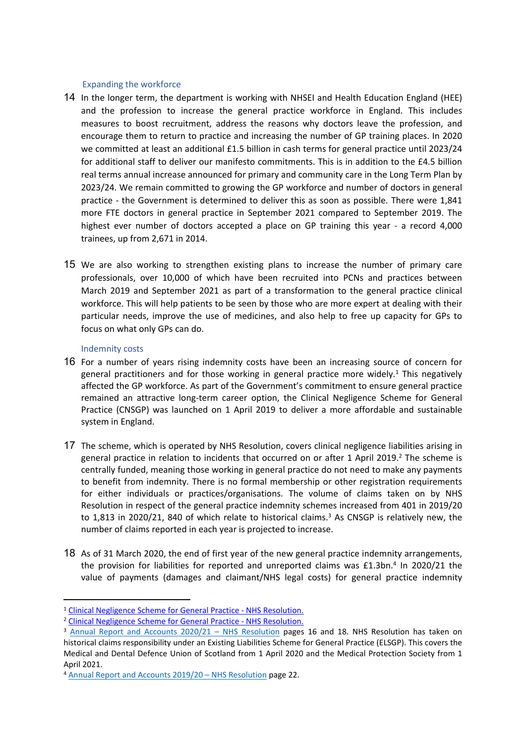### Expanding the workforce

- 14 In the longer term, the department is working with NHSEI and Health Education England (HEE) and the profession to increase the general practice workforce in England. This includes measures to boost recruitment, address the reasons why doctors leave the profession, and encourage them to return to practice and increasing the number of GP training places. In 2020 we committed at least an additional £1.5 billion in cash terms for general practice until 2023/24 for additional staff to deliver our manifesto commitments. This is in addition to the £4.5 billion real terms annual increase announced for primary and community care in the Long Term Plan by 2023/24. We remain committed to growing the GP workforce and number of doctors in general practice - the Government is determined to deliver this as soon as possible. There were 1,841 more FTE doctors in general practice in September 2021 compared to September 2019. The highest ever number of doctors accepted a place on GP training this year - a record 4,000 trainees, up from 2,671 in 2014.
- 15 We are also working to strengthen existing plans to increase the number of primary care professionals, over 10,000 of which have been recruited into PCNs and practices between March 2019 and September 2021 as part of a transformation to the general practice clinical workforce. This will help patients to be seen by those who are more expert at dealing with their particular needs, improve the use of medicines, and also help to free up capacity for GPs to focus on what only GPs can do.

## Indemnity costs

- 16 For a number of years rising indemnity costs have been an increasing source of concern for general practitioners and for those working in general practice more widely.<sup>1</sup> This negatively affected the GP workforce. As part of the Government's commitment to ensure general practice remained an attractive long-term career option, the Clinical Negligence Scheme for General Practice (CNSGP) was launched on 1 April 2019 to deliver a more affordable and sustainable system in England.
- 17 The scheme, which is operated by NHS Resolution, covers clinical negligence liabilities arising in general practice in relation to incidents that occurred on or after 1 April 2019.<sup>2</sup> The scheme is centrally funded, meaning those working in general practice do not need to make any payments to benefit from indemnity. There is no formal membership or other registration requirements for either individuals or practices/organisations. The volume of claims taken on by NHS Resolution in respect of the general practice indemnity schemes increased from 401 in 2019/20 to  $1,813$  in 2020/21, 840 of which relate to historical claims.<sup>3</sup> As CNSGP is relatively new, the number of claims reported in each year is projected to increase.
- 18 As of 31 March 2020, the end of first year of the new general practice indemnity arrangements, the provision for liabilities for reported and unreported claims was £1.3bn.<sup>4</sup> In 2020/21 the value of payments (damages and claimant/NHS legal costs) for general practice indemnity

<sup>1</sup> [Clinical](https://resolution.nhs.uk/services/claims-management/clinical-schemes/general-practice-indemnity/clinical-negligence-scheme-for-general-practice/#:~:text=From%201%20April%202019%2C%20NHS%20Resolution%20is%20operating,that%20occurred%20on%20or%20after%201%20April%202019.) [Negligence](https://resolution.nhs.uk/services/claims-management/clinical-schemes/general-practice-indemnity/clinical-negligence-scheme-for-general-practice/#:~:text=From%201%20April%202019%2C%20NHS%20Resolution%20is%20operating,that%20occurred%20on%20or%20after%201%20April%202019.) [Scheme](https://resolution.nhs.uk/services/claims-management/clinical-schemes/general-practice-indemnity/clinical-negligence-scheme-for-general-practice/#:~:text=From%201%20April%202019%2C%20NHS%20Resolution%20is%20operating,that%20occurred%20on%20or%20after%201%20April%202019.) [for](https://resolution.nhs.uk/services/claims-management/clinical-schemes/general-practice-indemnity/clinical-negligence-scheme-for-general-practice/#:~:text=From%201%20April%202019%2C%20NHS%20Resolution%20is%20operating,that%20occurred%20on%20or%20after%201%20April%202019.) [General](https://resolution.nhs.uk/services/claims-management/clinical-schemes/general-practice-indemnity/clinical-negligence-scheme-for-general-practice/#:~:text=From%201%20April%202019%2C%20NHS%20Resolution%20is%20operating,that%20occurred%20on%20or%20after%201%20April%202019.) [Practice](https://resolution.nhs.uk/services/claims-management/clinical-schemes/general-practice-indemnity/clinical-negligence-scheme-for-general-practice/#:~:text=From%201%20April%202019%2C%20NHS%20Resolution%20is%20operating,that%20occurred%20on%20or%20after%201%20April%202019.) [-](https://resolution.nhs.uk/services/claims-management/clinical-schemes/general-practice-indemnity/clinical-negligence-scheme-for-general-practice/#:~:text=From%201%20April%202019%2C%20NHS%20Resolution%20is%20operating,that%20occurred%20on%20or%20after%201%20April%202019.) [NHS](https://resolution.nhs.uk/services/claims-management/clinical-schemes/general-practice-indemnity/clinical-negligence-scheme-for-general-practice/#:~:text=From%201%20April%202019%2C%20NHS%20Resolution%20is%20operating,that%20occurred%20on%20or%20after%201%20April%202019.) [Resolution](https://resolution.nhs.uk/services/claims-management/clinical-schemes/general-practice-indemnity/clinical-negligence-scheme-for-general-practice/#:~:text=From%201%20April%202019%2C%20NHS%20Resolution%20is%20operating,that%20occurred%20on%20or%20after%201%20April%202019.).

<sup>2</sup> [Clinical](https://resolution.nhs.uk/services/claims-management/clinical-schemes/general-practice-indemnity/clinical-negligence-scheme-for-general-practice/#:~:text=From%201%20April%202019%2C%20NHS%20Resolution%20is%20operating,that%20occurred%20on%20or%20after%201%20April%202019.) [Negligence](https://resolution.nhs.uk/services/claims-management/clinical-schemes/general-practice-indemnity/clinical-negligence-scheme-for-general-practice/#:~:text=From%201%20April%202019%2C%20NHS%20Resolution%20is%20operating,that%20occurred%20on%20or%20after%201%20April%202019.) [Scheme](https://resolution.nhs.uk/services/claims-management/clinical-schemes/general-practice-indemnity/clinical-negligence-scheme-for-general-practice/#:~:text=From%201%20April%202019%2C%20NHS%20Resolution%20is%20operating,that%20occurred%20on%20or%20after%201%20April%202019.) [for](https://resolution.nhs.uk/services/claims-management/clinical-schemes/general-practice-indemnity/clinical-negligence-scheme-for-general-practice/#:~:text=From%201%20April%202019%2C%20NHS%20Resolution%20is%20operating,that%20occurred%20on%20or%20after%201%20April%202019.) [General](https://resolution.nhs.uk/services/claims-management/clinical-schemes/general-practice-indemnity/clinical-negligence-scheme-for-general-practice/#:~:text=From%201%20April%202019%2C%20NHS%20Resolution%20is%20operating,that%20occurred%20on%20or%20after%201%20April%202019.) [Practice](https://resolution.nhs.uk/services/claims-management/clinical-schemes/general-practice-indemnity/clinical-negligence-scheme-for-general-practice/#:~:text=From%201%20April%202019%2C%20NHS%20Resolution%20is%20operating,that%20occurred%20on%20or%20after%201%20April%202019.) [-](https://resolution.nhs.uk/services/claims-management/clinical-schemes/general-practice-indemnity/clinical-negligence-scheme-for-general-practice/#:~:text=From%201%20April%202019%2C%20NHS%20Resolution%20is%20operating,that%20occurred%20on%20or%20after%201%20April%202019.) [NHS](https://resolution.nhs.uk/services/claims-management/clinical-schemes/general-practice-indemnity/clinical-negligence-scheme-for-general-practice/#:~:text=From%201%20April%202019%2C%20NHS%20Resolution%20is%20operating,that%20occurred%20on%20or%20after%201%20April%202019.) [Resolution](https://resolution.nhs.uk/services/claims-management/clinical-schemes/general-practice-indemnity/clinical-negligence-scheme-for-general-practice/#:~:text=From%201%20April%202019%2C%20NHS%20Resolution%20is%20operating,that%20occurred%20on%20or%20after%201%20April%202019.).

<sup>&</sup>lt;sup>3</sup> [Annual](https://resolution.nhs.uk/wp-content/uploads/2021/07/Annual-report-and-accounts-2020-2021-WEB-1.pdf) [Report](https://resolution.nhs.uk/wp-content/uploads/2021/07/Annual-report-and-accounts-2020-2021-WEB-1.pdf) [and](https://resolution.nhs.uk/wp-content/uploads/2021/07/Annual-report-and-accounts-2020-2021-WEB-1.pdf) [Accounts](https://resolution.nhs.uk/wp-content/uploads/2021/07/Annual-report-and-accounts-2020-2021-WEB-1.pdf) [2020/21](https://resolution.nhs.uk/wp-content/uploads/2021/07/Annual-report-and-accounts-2020-2021-WEB-1.pdf) [–](https://resolution.nhs.uk/wp-content/uploads/2021/07/Annual-report-and-accounts-2020-2021-WEB-1.pdf) [NHS](https://resolution.nhs.uk/wp-content/uploads/2021/07/Annual-report-and-accounts-2020-2021-WEB-1.pdf) [Resolution](https://resolution.nhs.uk/wp-content/uploads/2021/07/Annual-report-and-accounts-2020-2021-WEB-1.pdf) pages 16 and 18. NHS Resolution has taken on historical claims responsibility under an Existing Liabilities Scheme for General Practice (ELSGP). This covers the Medical and Dental Defence Union of Scotland from 1 April 2020 and the Medical Protection Society from 1 April 2021.

<sup>4</sup> [Annual](https://resolution.nhs.uk/wp-content/uploads/2020/07/NHS-Resolution-2019_20-Annual-report-and-accounts-WEB.pdf) [Report](https://resolution.nhs.uk/wp-content/uploads/2020/07/NHS-Resolution-2019_20-Annual-report-and-accounts-WEB.pdf) [and](https://resolution.nhs.uk/wp-content/uploads/2020/07/NHS-Resolution-2019_20-Annual-report-and-accounts-WEB.pdf) [Accounts](https://resolution.nhs.uk/wp-content/uploads/2020/07/NHS-Resolution-2019_20-Annual-report-and-accounts-WEB.pdf) [2019/20](https://resolution.nhs.uk/wp-content/uploads/2020/07/NHS-Resolution-2019_20-Annual-report-and-accounts-WEB.pdf) [–](https://resolution.nhs.uk/wp-content/uploads/2020/07/NHS-Resolution-2019_20-Annual-report-and-accounts-WEB.pdf) [NHS](https://resolution.nhs.uk/wp-content/uploads/2020/07/NHS-Resolution-2019_20-Annual-report-and-accounts-WEB.pdf) [Resolution](https://resolution.nhs.uk/wp-content/uploads/2020/07/NHS-Resolution-2019_20-Annual-report-and-accounts-WEB.pdf) page 22.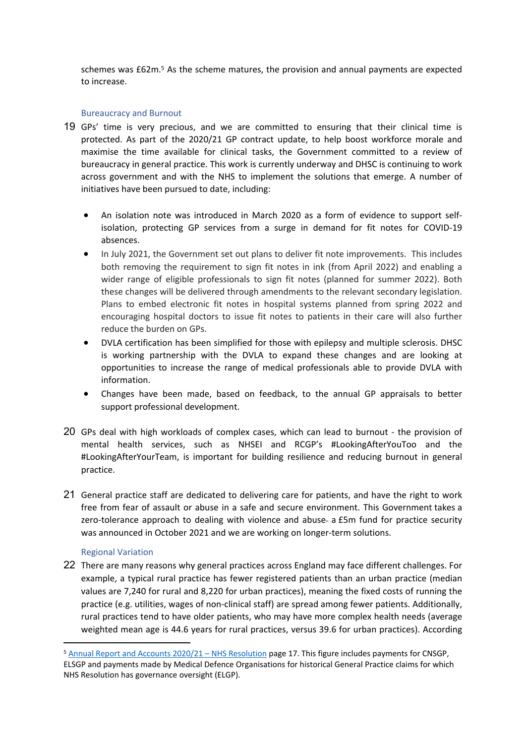schemes was £62m.<sup>5</sup> As the scheme matures, the provision and annual payments are expected to increase.

## Bureaucracy and Burnout

- 19 GPs' time is very precious, and we are committed to ensuring that their clinical time is protected. As part of the 2020/21 GP contract update, to help boost workforce morale and maximise the time available for clinical tasks, the Government committed to a review of bureaucracy in general practice. This work is currently underway and DHSC is continuing to work across government and with the NHS to implement the solutions that emerge. A number of initiatives have been pursued to date, including:
	- An isolation note was introduced in March 2020 as a form of evidence to support selfisolation, protecting GP services from a surge in demand for fit notes for COVID-19 absences.
	- In July 2021, the Government set out plans to deliver fit note improvements. This includes both removing the requirement to sign fit notes in ink (from April 2022) and enabling a wider range of eligible professionals to sign fit notes (planned for summer 2022). Both these changes will be delivered through amendments to the relevant secondary legislation. Plans to embed electronic fit notes in hospital systems planned from spring 2022 and encouraging hospital doctors to issue fit notes to patients in their care will also further reduce the burden on GPs.
	- DVLA certification has been simplified for those with epilepsy and multiple sclerosis. DHSC is working partnership with the DVLA to expand these changes and are looking at opportunities to increase the range of medical professionals able to provide DVLA with information.
	- Changes have been made, based on feedback, to the annual GP appraisals to better support professional development.
- 20 GPs deal with high workloads of complex cases, which can lead to burnout the provision of mental health services, such as NHSEI and RCGP's #LookingAfterYouToo and the #LookingAfterYourTeam, is important for building resilience and reducing burnout in general practice.
- 21 General practice staff are dedicated to delivering care for patients, and have the right to work free from fear of assault or abuse in a safe and secure environment. This Government takes a zero-tolerance approach to dealing with violence and abuse- a £5m fund for practice security was announced in October 2021 and we are working on longer-term solutions.

# Regional Variation

22 There are many reasons why general practices across England may face different challenges. For example, a typical rural practice has fewer registered patients than an urban practice (median values are 7,240 for rural and 8,220 for urban practices), meaning the fixed costs of running the practice (e.g. utilities, wages of non-clinical staff) are spread among fewer patients. Additionally, rural practices tend to have older patients, who may have more complex health needs (average weighted mean age is 44.6 years for rural practices, versus 39.6 for urban practices). According

<sup>5</sup> [Annual](https://resolution.nhs.uk/wp-content/uploads/2021/07/Annual-report-and-accounts-2020-2021-WEB-1.pdf) [Report](https://resolution.nhs.uk/wp-content/uploads/2021/07/Annual-report-and-accounts-2020-2021-WEB-1.pdf) [and](https://resolution.nhs.uk/wp-content/uploads/2021/07/Annual-report-and-accounts-2020-2021-WEB-1.pdf) [Accounts](https://resolution.nhs.uk/wp-content/uploads/2021/07/Annual-report-and-accounts-2020-2021-WEB-1.pdf) [2020/21](https://resolution.nhs.uk/wp-content/uploads/2021/07/Annual-report-and-accounts-2020-2021-WEB-1.pdf) [–](https://resolution.nhs.uk/wp-content/uploads/2021/07/Annual-report-and-accounts-2020-2021-WEB-1.pdf) [NHS](https://resolution.nhs.uk/wp-content/uploads/2021/07/Annual-report-and-accounts-2020-2021-WEB-1.pdf) [Resolution](https://resolution.nhs.uk/wp-content/uploads/2021/07/Annual-report-and-accounts-2020-2021-WEB-1.pdf) page 17. This figure includes payments for CNSGP, ELSGP and payments made by Medical Defence Organisations for historical General Practice claims for which NHS Resolution has governance oversight (ELGP).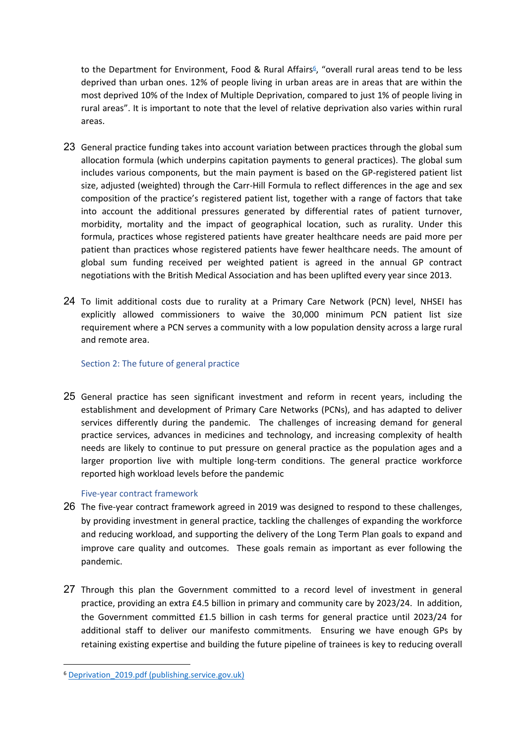to the Department for Environment, Food & Rural Affairs<sup>6</sup>, "overall rural areas tend to be less deprived than urban ones. 12% of people living in urban areas are in areas that are within the most deprived 10% of the Index of Multiple Deprivation, compared to just 1% of people living in rural areas". It is important to note that the level of relative deprivation also varies within rural areas.

- 23 General practice funding takes into account variation between practices through the global sum allocation formula (which underpins capitation payments to general practices). The global sum includes various components, but the main payment is based on the GP-registered patient list size, adjusted (weighted) through the Carr-Hill Formula to reflect differences in the age and sex composition of the practice's registered patient list, together with a range of factors that take into account the additional pressures generated by differential rates of patient turnover, morbidity, mortality and the impact of geographical location, such as rurality. Under this formula, practices whose registered patients have greater healthcare needs are paid more per patient than practices whose registered patients have fewer healthcare needs. The amount of global sum funding received per weighted patient is agreed in the annual GP contract negotiations with the British Medical Association and has been uplifted every year since 2013.
- 24 To limit additional costs due to rurality at a Primary Care Network (PCN) level, NHSEI has explicitly allowed commissioners to waive the 30,000 minimum PCN patient list size requirement where a PCN serves a community with a low population density across a large rural and remote area.

## Section 2: The future of general practice

25 General practice has seen significant investment and reform in recent years, including the establishment and development of Primary Care Networks (PCNs), and has adapted to deliver services differently during the pandemic. The challenges of increasing demand for general practice services, advances in medicines and technology, and increasing complexity of health needs are likely to continue to put pressure on general practice as the population ages and a larger proportion live with multiple long-term conditions. The general practice workforce reported high workload levels before the pandemic

## Five-year contract framework

- 26 The five-year contract framework agreed in 2019 was designed to respond to these challenges, by providing investment in general practice, tackling the challenges of expanding the workforce and reducing workload, and supporting the delivery of the Long Term Plan goals to expand and improve care quality and outcomes. These goals remain as important as ever following the pandemic.
- 27 Through this plan the Government committed to a record level of investment in general practice, providing an extra £4.5 billion in primary and community care by 2023/24. In addition, the Government committed £1.5 billion in cash terms for general practice until 2023/24 for additional staff to deliver our manifesto commitments. Ensuring we have enough GPs by retaining existing expertise and building the future pipeline of trainees is key to reducing overall

<sup>6</sup> [Deprivation\\_2019.pdf](https://assets.publishing.service.gov.uk/government/uploads/system/uploads/attachment_data/file/854569/Deprivation_2019.pdf) [\(publishing.service.gov.uk\)](https://assets.publishing.service.gov.uk/government/uploads/system/uploads/attachment_data/file/854569/Deprivation_2019.pdf)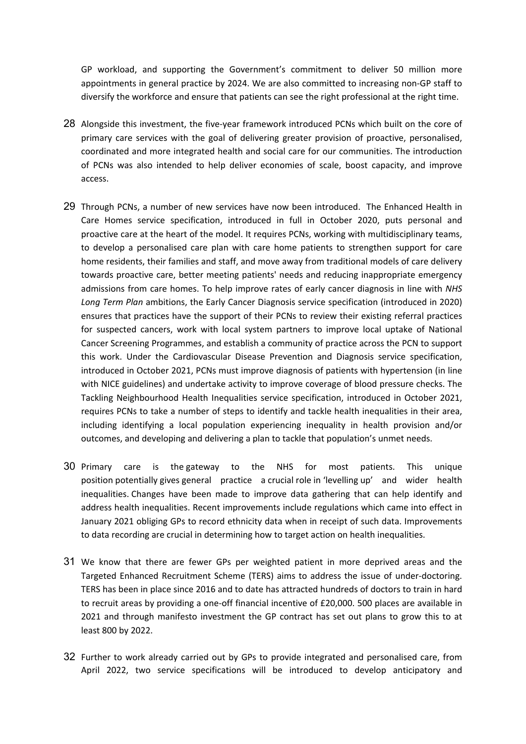GP workload, and supporting the Government's commitment to deliver 50 million more appointments in general practice by 2024. We are also committed to increasing non-GP staff to diversify the workforce and ensure that patients can see the right professional at the right time.

- 28 Alongside this investment, the five-year framework introduced PCNs which built on the core of primary care services with the goal of delivering greater provision of proactive, personalised, coordinated and more integrated health and social care for our communities. The introduction of PCNs was also intended to help deliver economies of scale, boost capacity, and improve access.
- 29 Through PCNs, a number of new services have now been introduced. The Enhanced Health in Care Homes service specification, introduced in full in October 2020, puts personal and proactive care at the heart of the model. It requires PCNs, working with multidisciplinary teams, to develop a personalised care plan with care home patients to strengthen support for care home residents, their families and staff, and move away from traditional models of care delivery towards proactive care, better meeting patients' needs and reducing inappropriate emergency admissions from care homes. To help improve rates of early cancer diagnosis in line with *NHS Long Term Plan* ambitions, the Early Cancer Diagnosis service specification (introduced in 2020) ensures that practices have the support of their PCNs to review their existing referral practices for suspected cancers, work with local system partners to improve local uptake of National Cancer Screening Programmes, and establish a community of practice across the PCN to support this work. Under the Cardiovascular Disease Prevention and Diagnosis service specification, introduced in October 2021, PCNs must improve diagnosis of patients with hypertension (in line with NICE guidelines) and undertake activity to improve coverage of blood pressure checks. The Tackling Neighbourhood Health Inequalities service specification, introduced in October 2021, requires PCNs to take a number of steps to identify and tackle health inequalities in their area, including identifying a local population experiencing inequality in health provision and/or outcomes, and developing and delivering a plan to tackle that population's unmet needs.
- 30 Primary care is the gateway to the NHS for most patients. This unique position potentially gives general practice a crucial role in 'levelling up' and wider health inequalities. Changes have been made to improve data gathering that can help identify and address health inequalities. Recent improvements include regulations which came into effect in January 2021 obliging GPs to record ethnicity data when in receipt of such data. Improvements to data recording are crucial in determining how to target action on health inequalities.
- 31 We know that there are fewer GPs per weighted patient in more deprived areas and the Targeted Enhanced Recruitment Scheme (TERS) aims to address the issue of under-doctoring. TERS has been in place since 2016 and to date has attracted hundreds of doctors to train in hard to recruit areas by providing a one-off financial incentive of £20,000. 500 places are available in 2021 and through manifesto investment the GP contract has set out plans to grow this to at least 800 by 2022.
- 32 Further to work already carried out by GPs to provide integrated and personalised care, from April 2022, two service specifications will be introduced to develop anticipatory and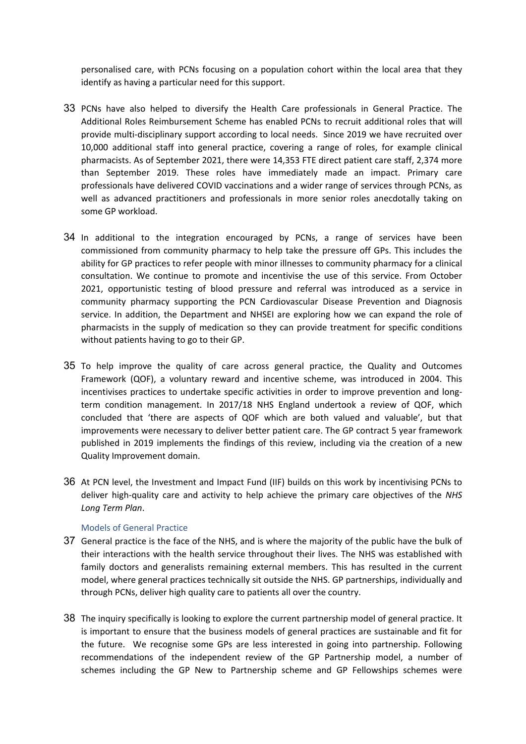personalised care, with PCNs focusing on a population cohort within the local area that they identify as having a particular need for this support.

- 33 PCNs have also helped to diversify the Health Care professionals in General Practice. The Additional Roles Reimbursement Scheme has enabled PCNs to recruit additional roles that will provide multi-disciplinary support according to local needs. Since 2019 we have recruited over 10,000 additional staff into general practice, covering a range of roles, for example clinical pharmacists. As of September 2021, there were 14,353 FTE direct patient care staff, 2,374 more than September 2019. These roles have immediately made an impact. Primary care professionals have delivered COVID vaccinations and a wider range of services through PCNs, as well as advanced practitioners and professionals in more senior roles anecdotally taking on some GP workload.
- 34 In additional to the integration encouraged by PCNs, a range of services have been commissioned from community pharmacy to help take the pressure off GPs. This includes the ability for GP practices to refer people with minor illnesses to community pharmacy for a clinical consultation. We continue to promote and incentivise the use of this service. From October 2021, opportunistic testing of blood pressure and referral was introduced as a service in community pharmacy supporting the PCN Cardiovascular Disease Prevention and Diagnosis service. In addition, the Department and NHSEI are exploring how we can expand the role of pharmacists in the supply of medication so they can provide treatment for specific conditions without patients having to go to their GP.
- 35 To help improve the quality of care across general practice, the Quality and Outcomes Framework (QOF), a voluntary reward and incentive scheme, was introduced in 2004. This incentivises practices to undertake specific activities in order to improve prevention and longterm condition management. In 2017/18 NHS England undertook a review of QOF, which concluded that 'there are aspects of QOF which are both valued and valuable', but that improvements were necessary to deliver better patient care. The GP contract 5 year framework published in 2019 implements the findings of this review, including via the creation of a new Quality Improvement domain.
- 36 At PCN level, the Investment and Impact Fund (IIF) builds on this work by incentivising PCNs to deliver high-quality care and activity to help achieve the primary care objectives of the *NHS Long Term Plan*.

## Models of General Practice

- 37 General practice is the face of the NHS, and is where the majority of the public have the bulk of their interactions with the health service throughout their lives. The NHS was established with family doctors and generalists remaining external members. This has resulted in the current model, where general practices technically sit outside the NHS. GP partnerships, individually and through PCNs, deliver high quality care to patients all over the country.
- 38 The inquiry specifically is looking to explore the current partnership model of general practice. It is important to ensure that the business models of general practices are sustainable and fit for the future. We recognise some GPs are less interested in going into partnership. Following recommendations of the independent review of the GP Partnership model, a number of schemes including the GP New to Partnership scheme and GP Fellowships schemes were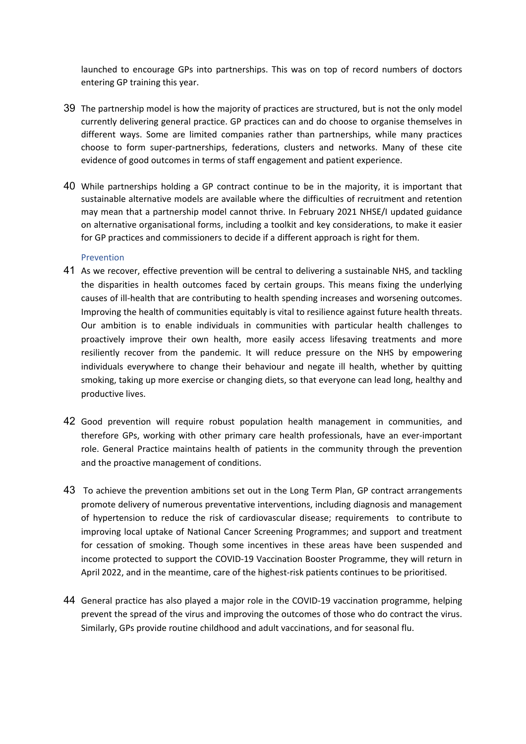launched to encourage GPs into partnerships. This was on top of record numbers of doctors entering GP training this year.

- 39 The partnership model is how the majority of practices are structured, but is not the only model currently delivering general practice. GP practices can and do choose to organise themselves in different ways. Some are limited companies rather than partnerships, while many practices choose to form super-partnerships, federations, clusters and networks. Many of these cite evidence of good outcomes in terms of staff engagement and patient experience.
- 40 While partnerships holding a GP contract continue to be in the majority, it is important that sustainable alternative models are available where the difficulties of recruitment and retention may mean that a partnership model cannot thrive. In February 2021 NHSE/I updated guidance on alternative organisational forms, including a toolkit and key considerations, to make it easier for GP practices and commissioners to decide if a different approach is right for them.

## Prevention

- 41 As we recover, effective prevention will be central to delivering a sustainable NHS, and tackling the disparities in health outcomes faced by certain groups. This means fixing the underlying causes of ill-health that are contributing to health spending increases and worsening outcomes. Improving the health of communities equitably is vital to resilience against future health threats. Our ambition is to enable individuals in communities with particular health challenges to proactively improve their own health, more easily access lifesaving treatments and more resiliently recover from the pandemic. It will reduce pressure on the NHS by empowering individuals everywhere to change their behaviour and negate ill health, whether by quitting smoking, taking up more exercise or changing diets, so that everyone can lead long, healthy and productive lives.
- 42 Good prevention will require robust population health management in communities, and therefore GPs, working with other primary care health professionals, have an ever-important role. General Practice maintains health of patients in the community through the prevention and the proactive management of conditions.
- 43 To achieve the prevention ambitions set out in the Long Term Plan, GP contract arrangements promote delivery of numerous preventative interventions, including diagnosis and management of hypertension to reduce the risk of cardiovascular disease; requirements to contribute to improving local uptake of National Cancer Screening Programmes; and support and treatment for cessation of smoking. Though some incentives in these areas have been suspended and income protected to support the COVID-19 Vaccination Booster Programme, they will return in April 2022, and in the meantime, care of the highest-risk patients continues to be prioritised.
- 44 General practice has also played a major role in the COVID-19 vaccination programme, helping prevent the spread of the virus and improving the outcomes of those who do contract the virus. Similarly, GPs provide routine childhood and adult vaccinations, and for seasonal flu.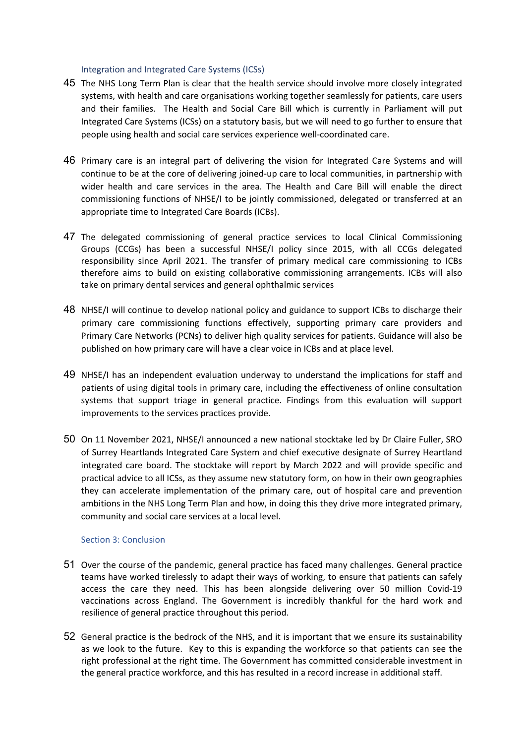## Integration and Integrated Care Systems (ICSs)

- 45 The NHS Long Term Plan is clear that the health service should involve more closely integrated systems, with health and care organisations working together seamlessly for patients, care users and their families. The Health and Social Care Bill which is currently in Parliament will put Integrated Care Systems (ICSs) on a statutory basis, but we will need to go further to ensure that people using health and social care services experience well-coordinated care.
- 46 Primary care is an integral part of delivering the vision for Integrated Care Systems and will continue to be at the core of delivering joined-up care to local communities, in partnership with wider health and care services in the area. The Health and Care Bill will enable the direct commissioning functions of NHSE/I to be jointly commissioned, delegated or transferred at an appropriate time to Integrated Care Boards (ICBs).
- 47 The delegated commissioning of general practice services to local Clinical Commissioning Groups (CCGs) has been a successful NHSE/I policy since 2015, with all CCGs delegated responsibility since April 2021. The transfer of primary medical care commissioning to ICBs therefore aims to build on existing collaborative commissioning arrangements. ICBs will also take on primary dental services and general ophthalmic services
- 48 NHSE/I will continue to develop national policy and guidance to support ICBs to discharge their primary care commissioning functions effectively, supporting primary care providers and Primary Care Networks (PCNs) to deliver high quality services for patients. Guidance will also be published on how primary care will have a clear voice in ICBs and at place level.
- 49 NHSE/I has an independent evaluation underway to understand the implications for staff and patients of using digital tools in primary care, including the effectiveness of online consultation systems that support triage in general practice. Findings from this evaluation will support improvements to the services practices provide.
- 50 On 11 November 2021, NHSE/I announced a new national stocktake led by Dr Claire Fuller, SRO of Surrey Heartlands Integrated Care System and chief executive designate of Surrey Heartland integrated care board. The stocktake will report by March 2022 and will provide specific and practical advice to all ICSs, as they assume new statutory form, on how in their own geographies they can accelerate implementation of the primary care, out of hospital care and prevention ambitions in the NHS Long Term Plan and how, in doing this they drive more integrated primary, community and social care services at a local level.

# Section 3: Conclusion

- 51 Over the course of the pandemic, general practice has faced many challenges. General practice teams have worked tirelessly to adapt their ways of working, to ensure that patients can safely access the care they need. This has been alongside delivering over 50 million Covid-19 vaccinations across England. The Government is incredibly thankful for the hard work and resilience of general practice throughout this period.
- 52 General practice is the bedrock of the NHS, and it is important that we ensure its sustainability as we look to the future. Key to this is expanding the workforce so that patients can see the right professional at the right time. The Government has committed considerable investment in the general practice workforce, and this has resulted in a record increase in additional staff.